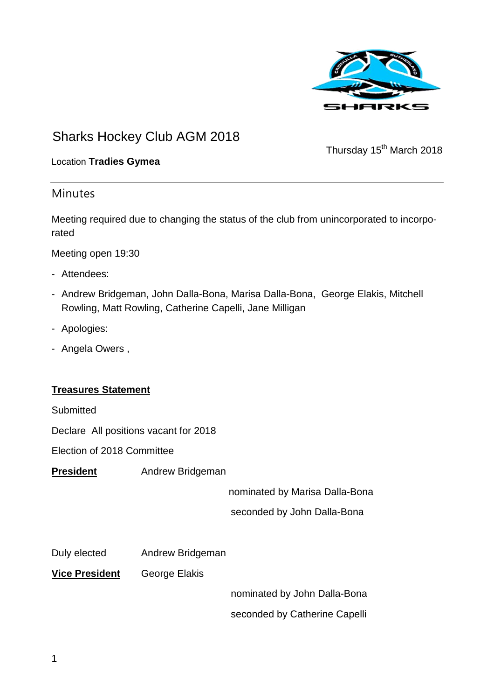

### Sharks Hockey Club AGM 2018

Thursday 15<sup>th</sup> March 2018

#### Location **Tradies Gymea**

#### **Minutes**

Meeting required due to changing the status of the club from unincorporated to incorporated

Meeting open 19:30

- Attendees:
- Andrew Bridgeman, John Dalla-Bona, Marisa Dalla-Bona, George Elakis, Mitchell Rowling, Matt Rowling, Catherine Capelli, Jane Milligan
- Apologies:
- Angela Owers ,

#### **Treasures Statement**

**Submitted** 

Declare All positions vacant for 2018

Election of 2018 Committee

**President** Andrew Bridgeman

nominated by Marisa Dalla-Bona

seconded by John Dalla-Bona

Duly elected Andrew Bridgeman

**Vice President** George Elakis

nominated by John Dalla-Bona

seconded by Catherine Capelli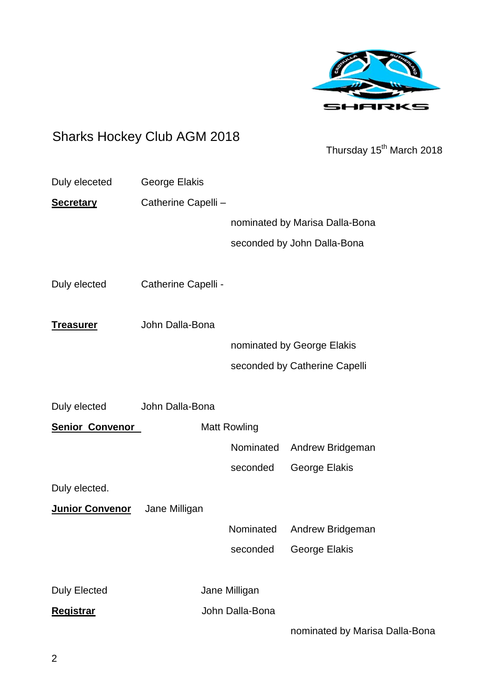

## Sharks Hockey Club AGM 2018

Thursday 15<sup>th</sup> March 2018

| Duly eleceted          | George Elakis       |                 |                                |
|------------------------|---------------------|-----------------|--------------------------------|
| <b>Secretary</b>       | Catherine Capelli - |                 |                                |
|                        |                     |                 | nominated by Marisa Dalla-Bona |
|                        |                     |                 | seconded by John Dalla-Bona    |
|                        |                     |                 |                                |
| Duly elected           | Catherine Capelli - |                 |                                |
| <u>Treasurer</u>       | John Dalla-Bona     |                 |                                |
|                        |                     |                 | nominated by George Elakis     |
|                        |                     |                 | seconded by Catherine Capelli  |
|                        |                     |                 |                                |
| Duly elected           | John Dalla-Bona     |                 |                                |
| <b>Senior Convenor</b> | <b>Matt Rowling</b> |                 |                                |
|                        |                     | Nominated       | Andrew Bridgeman               |
|                        |                     | seconded        | George Elakis                  |
| Duly elected.          |                     |                 |                                |
| Junior Convenor        | Jane Milligan       |                 |                                |
|                        |                     | Nominated       | Andrew Bridgeman               |
|                        |                     | seconded        | <b>George Elakis</b>           |
|                        |                     |                 |                                |
| <b>Duly Elected</b>    | Jane Milligan       |                 |                                |
| <b>Registrar</b>       |                     | John Dalla-Bona |                                |
|                        |                     |                 | nominated by Marisa Dalla-Bona |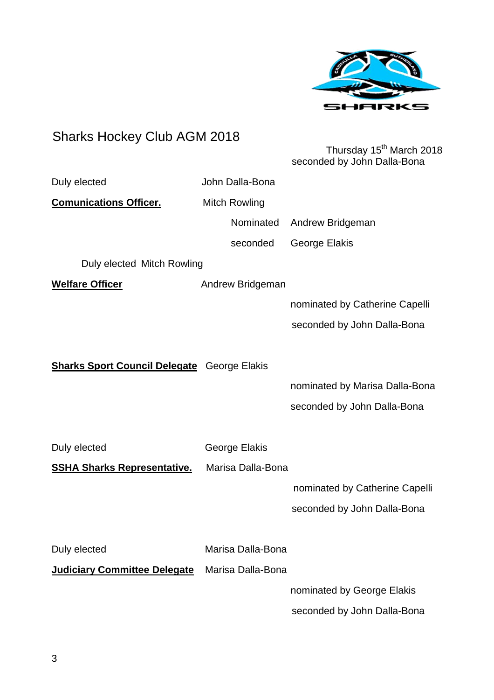

# Sharks Hockey Club AGM 2018 Thursday 15<sup>th</sup> March 2018 seconded by John Dalla-Bona Duly elected **John Dalla-Bona Comunications Officer.** Mitch Rowling Nominated Andrew Bridgeman seconded George Elakis Duly elected Mitch Rowling **Welfare Officer** Andrew Bridgeman nominated by Catherine Capelli seconded by John Dalla-Bona **Sharks Sport Council Delegate** George Elakis nominated by Marisa Dalla-Bona seconded by John Dalla-Bona Duly elected George Elakis **SSHA Sharks Representative.** Marisa Dalla-Bona nominated by Catherine Capelli seconded by John Dalla-Bona Duly elected Marisa Dalla-Bona **Judiciary Committee Delegate** Marisa Dalla-Bona nominated by George Elakis seconded by John Dalla-Bona